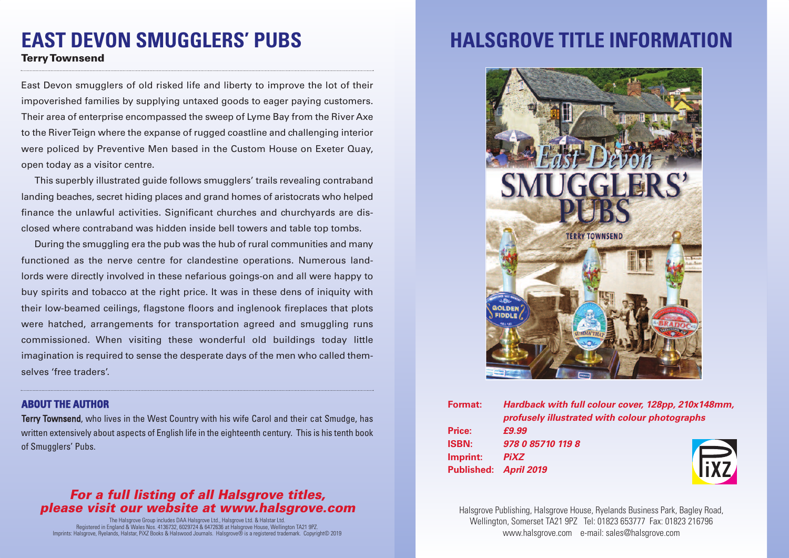# **EAST DEVON SMUGGLERS' PUBS**

#### **TerryTownsend**

East Devon smugglers of old risked life and liberty to improve the lot of their impoverished families by supplying untaxed goods to eager paying customers. Their area of enterprise encompassed the sweep of Lyme Bay from the River Axe to the RiverTeign where the expanse of rugged coastline and challenging interior were policed by Preventive Men based in the Custom House on Exeter Quay, open today as a visitor centre.

This superbly illustrated guide follows smugglers' trails revealing contraband landing beaches, secret hiding places and grand homes of aristocrats who helped finance the unlawful activities. Significant churches and churchyards are disclosed where contraband was hidden inside bell towers and table top tombs.

During the smuggling era the pub was the hub of rural communities and many functioned as the nerve centre for clandestine operations. Numerous landlords were directly involved in these nefarious goings-on and all were happy to buy spirits and tobacco at the right price. It was in these dens of iniquity with their low-beamed ceilings, flagstone floors and inglenook fireplaces that plots were hatched, arrangements for transportation agreed and smuggling runs commissioned. When visiting these wonderful old buildings today little imagination is required to sense the desperate days of the men who called themselves 'free traders'.

### **ABOUT THE AUTHOR**

Terry Townsend, who lives in the West Country with his wife Carol and their cat Smudge, has written extensively about aspects of English life in the eighteenth century. This is his tenth book of Smugglers' Pubs.

### *For a full listing of all Halsgrove titles, please visit our website at www.halsgrove.com*

The Halsgrove Group includes DAA Halsgrove Ltd., Halsgrove Ltd. & Halstar Ltd. Registered in England & Wales Nos. 4136732, 6029724 & 6472636 at Halsgrove House, Wellington TA21 9PZ. Imprints: Halsgrove, Ryelands, Halstar, PiXZ Books & Halswood Journals. Halsgrove® is a registered trademark. Copyright© 2019

## **HALSGROVE TITLE INFORMATION**



| Format:      | Hardback with full colour cover, 128pp, 210x148mm,<br>profusely illustrated with colour photographs |            |
|--------------|-----------------------------------------------------------------------------------------------------|------------|
| Price:       | £9.99                                                                                               |            |
| <b>ISBN:</b> | 978 0 85710 119 8                                                                                   |            |
| Imprint:     | <b>PiXZ</b>                                                                                         |            |
|              | Published: April 2019                                                                               | <b>FX7</b> |
|              |                                                                                                     |            |

Halsgrove Publishing, Halsgrove House, Ryelands Business Park, Bagley Road, Wellington, Somerset TA21 9PZ Tel: 01823 653777 Fax: 01823 216796 www.halsgrove.com e-mail: sales@halsgrove.com